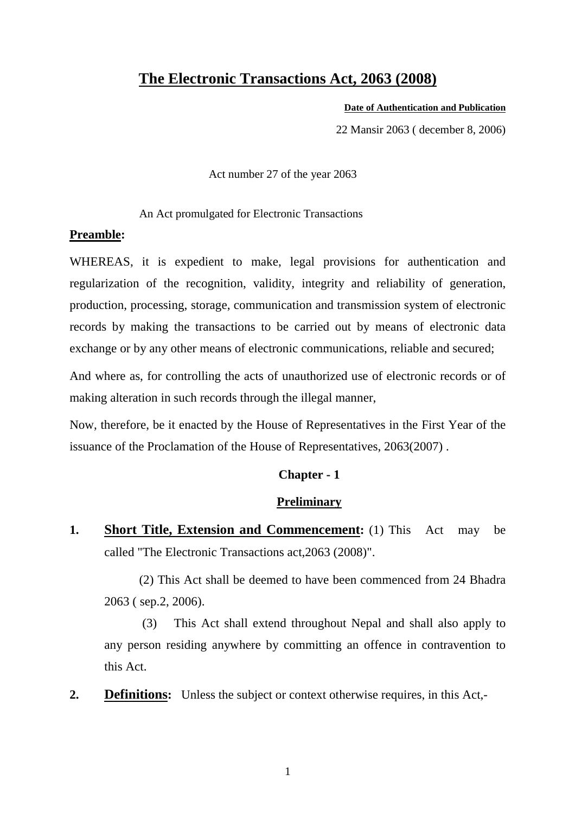## **The Electronic Transactions Act, 2063 (2008)**

#### **Date of Authentication and Publication**

22 Mansir 2063 ( december 8, 2006)

Act number 27 of the year 2063

An Act promulgated for Electronic Transactions

## **Preamble:**

WHEREAS, it is expedient to make, legal provisions for authentication and regularization of the recognition, validity, integrity and reliability of generation, production, processing, storage, communication and transmission system of electronic records by making the transactions to be carried out by means of electronic data exchange or by any other means of electronic communications, reliable and secured;

And where as, for controlling the acts of unauthorized use of electronic records or of making alteration in such records through the illegal manner,

Now, therefore, be it enacted by the House of Representatives in the First Year of the issuance of the Proclamation of the House of Representatives, 2063(2007) .

## **Chapter - 1**

### **Preliminary**

**1. Short Title, Extension and Commencement:** (1) This Act may be called "The Electronic Transactions act,2063 (2008)".

(2) This Act shall be deemed to have been commenced from 24 Bhadra 2063 ( sep.2, 2006).

 (3) This Act shall extend throughout Nepal and shall also apply to any person residing anywhere by committing an offence in contravention to this Act.

**2. Definitions:** Unless the subject or context otherwise requires, in this Act,-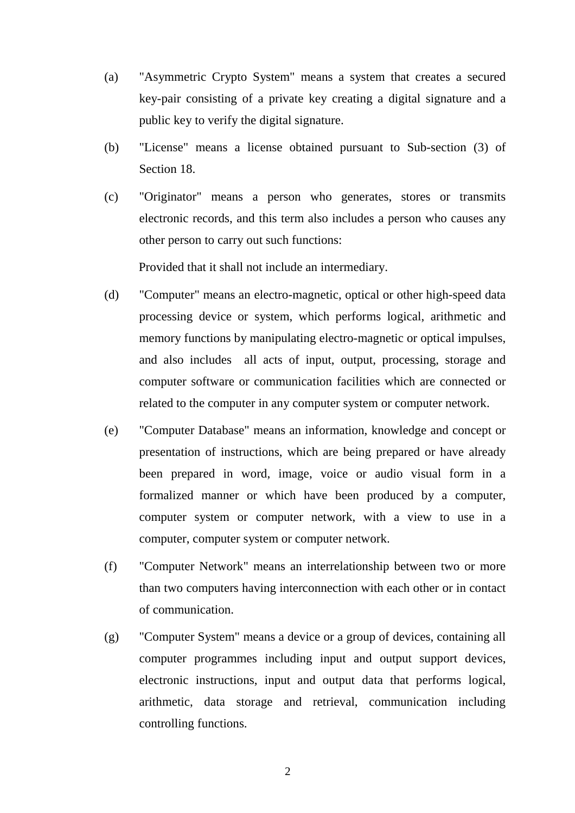- (a) "Asymmetric Crypto System" means a system that creates a secured key-pair consisting of a private key creating a digital signature and a public key to verify the digital signature.
- (b) "License" means a license obtained pursuant to Sub-section (3) of Section 18.
- (c) "Originator" means a person who generates, stores or transmits electronic records, and this term also includes a person who causes any other person to carry out such functions:

Provided that it shall not include an intermediary.

- (d) "Computer" means an electro-magnetic, optical or other high-speed data processing device or system, which performs logical, arithmetic and memory functions by manipulating electro-magnetic or optical impulses, and also includes all acts of input, output, processing, storage and computer software or communication facilities which are connected or related to the computer in any computer system or computer network.
- (e) "Computer Database" means an information, knowledge and concept or presentation of instructions, which are being prepared or have already been prepared in word, image, voice or audio visual form in a formalized manner or which have been produced by a computer, computer system or computer network, with a view to use in a computer, computer system or computer network.
- (f) "Computer Network" means an interrelationship between two or more than two computers having interconnection with each other or in contact of communication.
- (g) "Computer System" means a device or a group of devices, containing all computer programmes including input and output support devices, electronic instructions, input and output data that performs logical, arithmetic, data storage and retrieval, communication including controlling functions.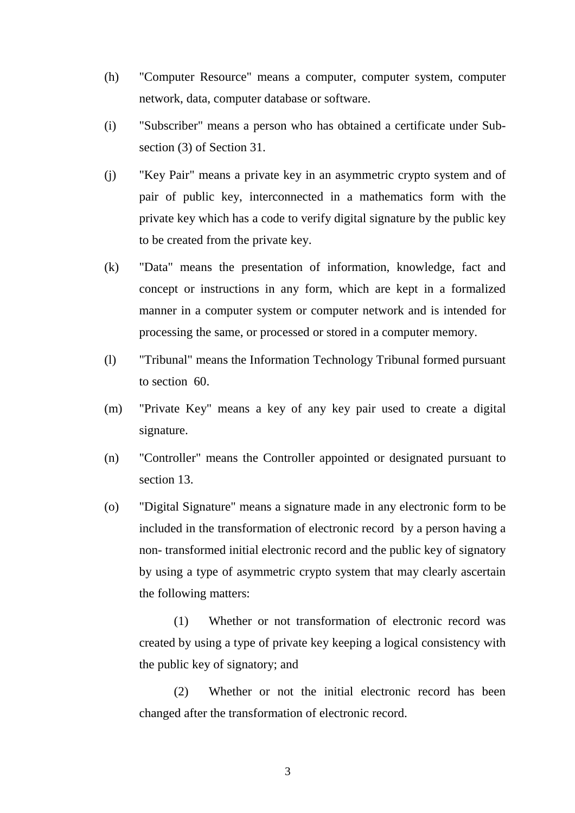- (h) "Computer Resource" means a computer, computer system, computer network, data, computer database or software.
- (i) "Subscriber" means a person who has obtained a certificate under Subsection (3) of Section 31.
- (j) "Key Pair" means a private key in an asymmetric crypto system and of pair of public key, interconnected in a mathematics form with the private key which has a code to verify digital signature by the public key to be created from the private key.
- (k) "Data" means the presentation of information, knowledge, fact and concept or instructions in any form, which are kept in a formalized manner in a computer system or computer network and is intended for processing the same, or processed or stored in a computer memory.
- (l) "Tribunal" means the Information Technology Tribunal formed pursuant to section 60.
- (m) "Private Key" means a key of any key pair used to create a digital signature.
- (n) "Controller" means the Controller appointed or designated pursuant to section 13.
- (o) "Digital Signature" means a signature made in any electronic form to be included in the transformation of electronic record by a person having a non- transformed initial electronic record and the public key of signatory by using a type of asymmetric crypto system that may clearly ascertain the following matters:

 (1) Whether or not transformation of electronic record was created by using a type of private key keeping a logical consistency with the public key of signatory; and

 (2) Whether or not the initial electronic record has been changed after the transformation of electronic record.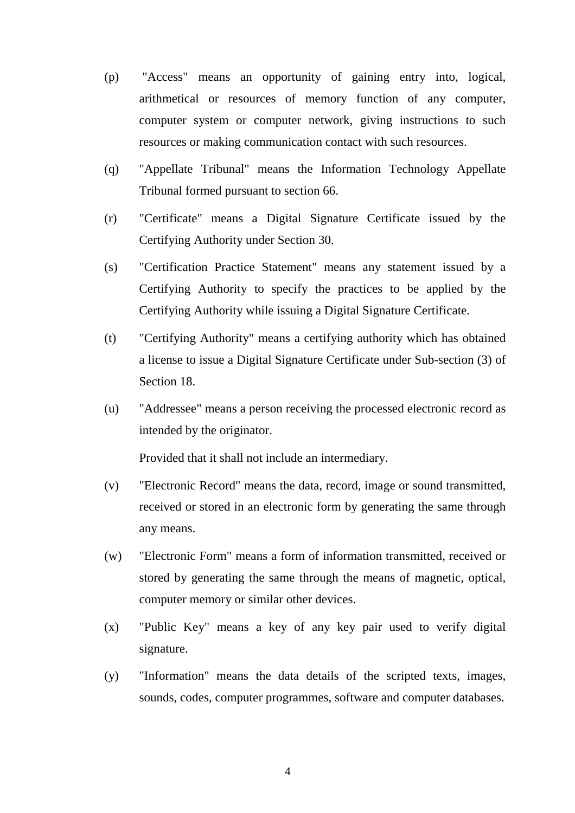- (p) "Access" means an opportunity of gaining entry into, logical, arithmetical or resources of memory function of any computer, computer system or computer network, giving instructions to such resources or making communication contact with such resources.
- (q) "Appellate Tribunal" means the Information Technology Appellate Tribunal formed pursuant to section 66.
- (r) "Certificate" means a Digital Signature Certificate issued by the Certifying Authority under Section 30.
- (s) "Certification Practice Statement" means any statement issued by a Certifying Authority to specify the practices to be applied by the Certifying Authority while issuing a Digital Signature Certificate.
- (t) "Certifying Authority" means a certifying authority which has obtained a license to issue a Digital Signature Certificate under Sub-section (3) of Section 18.
- (u) "Addressee" means a person receiving the processed electronic record as intended by the originator.

Provided that it shall not include an intermediary.

- (v) "Electronic Record" means the data, record, image or sound transmitted, received or stored in an electronic form by generating the same through any means.
- (w) "Electronic Form" means a form of information transmitted, received or stored by generating the same through the means of magnetic, optical, computer memory or similar other devices.
- (x) "Public Key" means a key of any key pair used to verify digital signature.
- (y) "Information" means the data details of the scripted texts, images, sounds, codes, computer programmes, software and computer databases.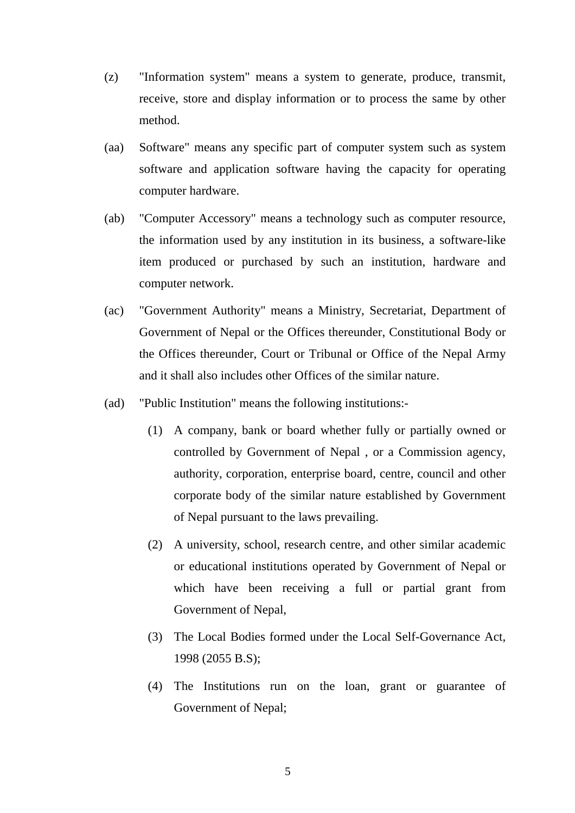- (z) "Information system" means a system to generate, produce, transmit, receive, store and display information or to process the same by other method.
- (aa) Software" means any specific part of computer system such as system software and application software having the capacity for operating computer hardware.
- (ab) "Computer Accessory" means a technology such as computer resource, the information used by any institution in its business, a software-like item produced or purchased by such an institution, hardware and computer network.
- (ac) "Government Authority" means a Ministry, Secretariat, Department of Government of Nepal or the Offices thereunder, Constitutional Body or the Offices thereunder, Court or Tribunal or Office of the Nepal Army and it shall also includes other Offices of the similar nature.
- (ad) "Public Institution" means the following institutions:-
	- (1) A company, bank or board whether fully or partially owned or controlled by Government of Nepal , or a Commission agency, authority, corporation, enterprise board, centre, council and other corporate body of the similar nature established by Government of Nepal pursuant to the laws prevailing.
	- (2) A university, school, research centre, and other similar academic or educational institutions operated by Government of Nepal or which have been receiving a full or partial grant from Government of Nepal,
	- (3) The Local Bodies formed under the Local Self-Governance Act, 1998 (2055 B.S);
	- (4) The Institutions run on the loan, grant or guarantee of Government of Nepal;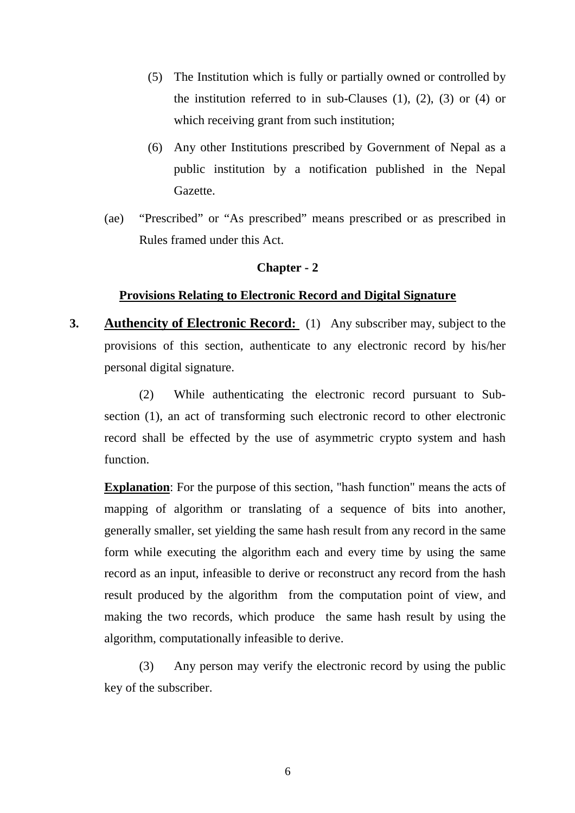- (5) The Institution which is fully or partially owned or controlled by the institution referred to in sub-Clauses  $(1)$ ,  $(2)$ ,  $(3)$  or  $(4)$  or which receiving grant from such institution;
- (6) Any other Institutions prescribed by Government of Nepal as a public institution by a notification published in the Nepal Gazette.
- (ae) "Prescribed" or "As prescribed" means prescribed or as prescribed in Rules framed under this Act.

#### **Chapter - 2**

#### **Provisions Relating to Electronic Record and Digital Signature**

**3. Authencity of Electronic Record:** (1)Any subscriber may, subject to the provisions of this section, authenticate to any electronic record by his/her personal digital signature.

(2) While authenticating the electronic record pursuant to Subsection (1), an act of transforming such electronic record to other electronic record shall be effected by the use of asymmetric crypto system and hash function.

**Explanation**: For the purpose of this section, "hash function" means the acts of mapping of algorithm or translating of a sequence of bits into another, generally smaller, set yielding the same hash result from any record in the same form while executing the algorithm each and every time by using the same record as an input, infeasible to derive or reconstruct any record from the hash result produced by the algorithm from the computation point of view, and making the two records, which produce the same hash result by using the algorithm, computationally infeasible to derive.

(3) Any person may verify the electronic record by using the public key of the subscriber.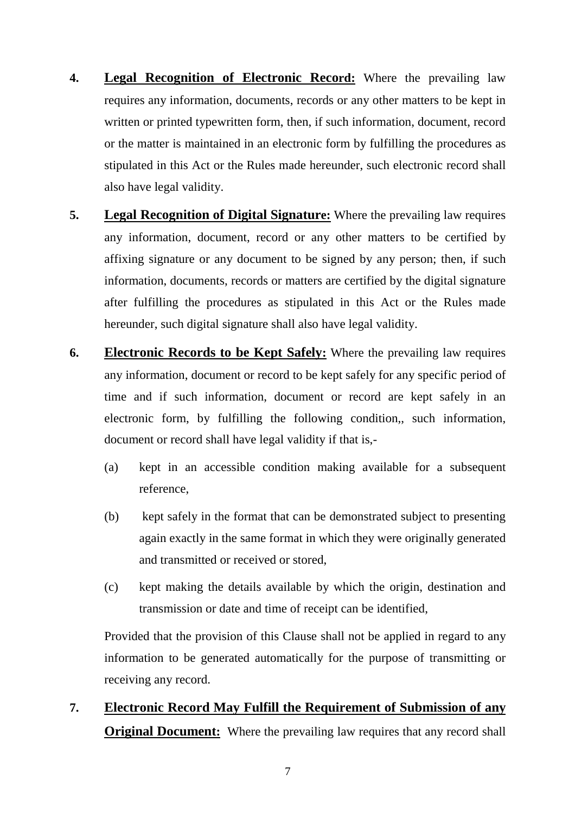- **4. Legal Recognition of Electronic Record:** Where the prevailing law requires any information, documents, records or any other matters to be kept in written or printed typewritten form, then, if such information, document, record or the matter is maintained in an electronic form by fulfilling the procedures as stipulated in this Act or the Rules made hereunder, such electronic record shall also have legal validity.
- **5. Legal Recognition of Digital Signature:** Where the prevailing law requires any information, document, record or any other matters to be certified by affixing signature or any document to be signed by any person; then, if such information, documents, records or matters are certified by the digital signature after fulfilling the procedures as stipulated in this Act or the Rules made hereunder, such digital signature shall also have legal validity.
- **6. Electronic Records to be Kept Safely:** Where the prevailing law requires any information, document or record to be kept safely for any specific period of time and if such information, document or record are kept safely in an electronic form, by fulfilling the following condition,, such information, document or record shall have legal validity if that is,-
	- (a) kept in an accessible condition making available for a subsequent reference,
	- (b) kept safely in the format that can be demonstrated subject to presenting again exactly in the same format in which they were originally generated and transmitted or received or stored,
	- (c) kept making the details available by which the origin, destination and transmission or date and time of receipt can be identified,

Provided that the provision of this Clause shall not be applied in regard to any information to be generated automatically for the purpose of transmitting or receiving any record.

**7. Electronic Record May Fulfill the Requirement of Submission of any Original Document:** Where the prevailing law requires that any record shall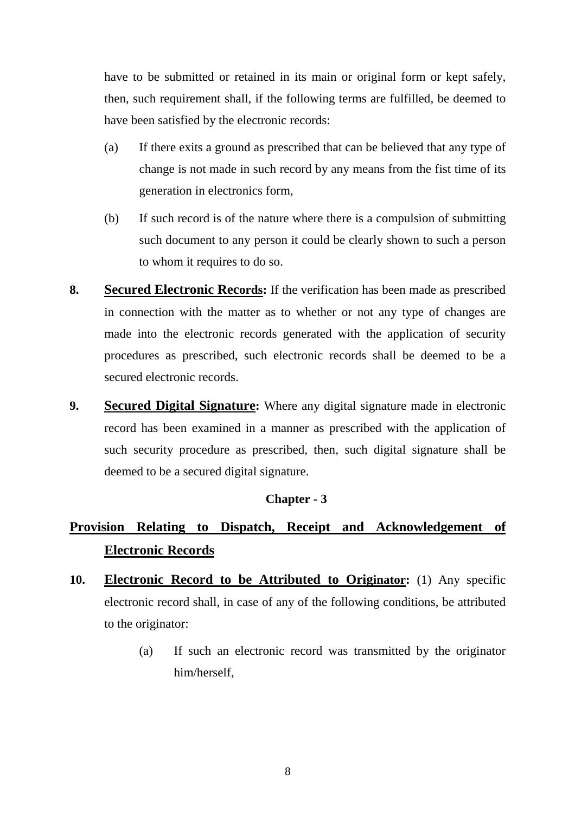have to be submitted or retained in its main or original form or kept safely, then, such requirement shall, if the following terms are fulfilled, be deemed to have been satisfied by the electronic records:

- (a) If there exits a ground as prescribed that can be believed that any type of change is not made in such record by any means from the fist time of its generation in electronics form,
- (b) If such record is of the nature where there is a compulsion of submitting such document to any person it could be clearly shown to such a person to whom it requires to do so.
- **8. Secured Electronic Records:** If the verification has been made as prescribed in connection with the matter as to whether or not any type of changes are made into the electronic records generated with the application of security procedures as prescribed, such electronic records shall be deemed to be a secured electronic records.
- **9. Secured Digital Signature:** Where any digital signature made in electronic record has been examined in a manner as prescribed with the application of such security procedure as prescribed, then, such digital signature shall be deemed to be a secured digital signature.

## **Chapter - 3**

# **Provision Relating to Dispatch, Receipt and Acknowledgement of Electronic Records**

- 10. **Electronic Record to be Attributed to Originator:** (1) Any specific electronic record shall, in case of any of the following conditions, be attributed to the originator:
	- (a) If such an electronic record was transmitted by the originator him/herself,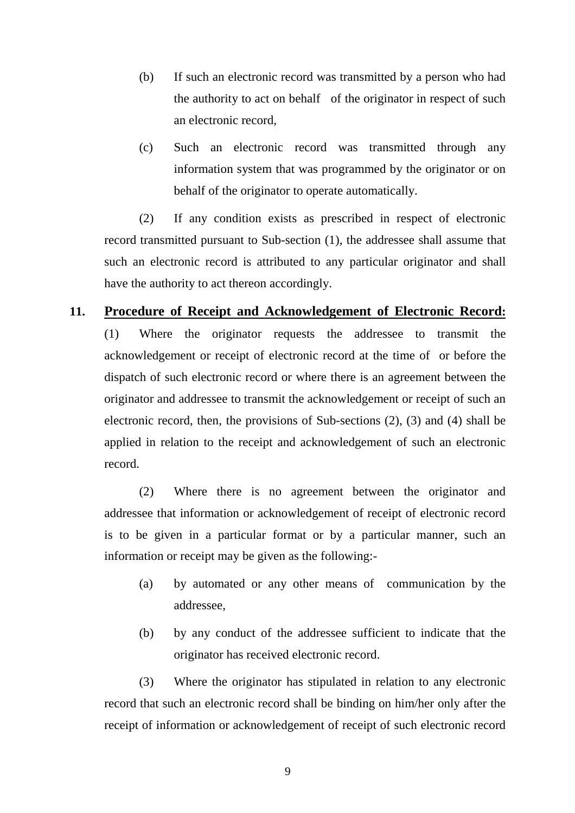- (b) If such an electronic record was transmitted by a person who had the authority to act on behalf of the originator in respect of such an electronic record,
- (c) Such an electronic record was transmitted through any information system that was programmed by the originator or on behalf of the originator to operate automatically.

 (2) If any condition exists as prescribed in respect of electronic record transmitted pursuant to Sub-section (1), the addressee shall assume that such an electronic record is attributed to any particular originator and shall have the authority to act thereon accordingly.

## **11. Procedure of Receipt and Acknowledgement of Electronic Record:**

(1) Where the originator requests the addressee to transmit the acknowledgement or receipt of electronic record at the time of or before the dispatch of such electronic record or where there is an agreement between the originator and addressee to transmit the acknowledgement or receipt of such an electronic record, then, the provisions of Sub-sections (2), (3) and (4) shall be applied in relation to the receipt and acknowledgement of such an electronic record.

 (2) Where there is no agreement between the originator and addressee that information or acknowledgement of receipt of electronic record is to be given in a particular format or by a particular manner, such an information or receipt may be given as the following:-

- (a) by automated or any other means of communication by the addressee,
- (b) by any conduct of the addressee sufficient to indicate that the originator has received electronic record.

 (3) Where the originator has stipulated in relation to any electronic record that such an electronic record shall be binding on him/her only after the receipt of information or acknowledgement of receipt of such electronic record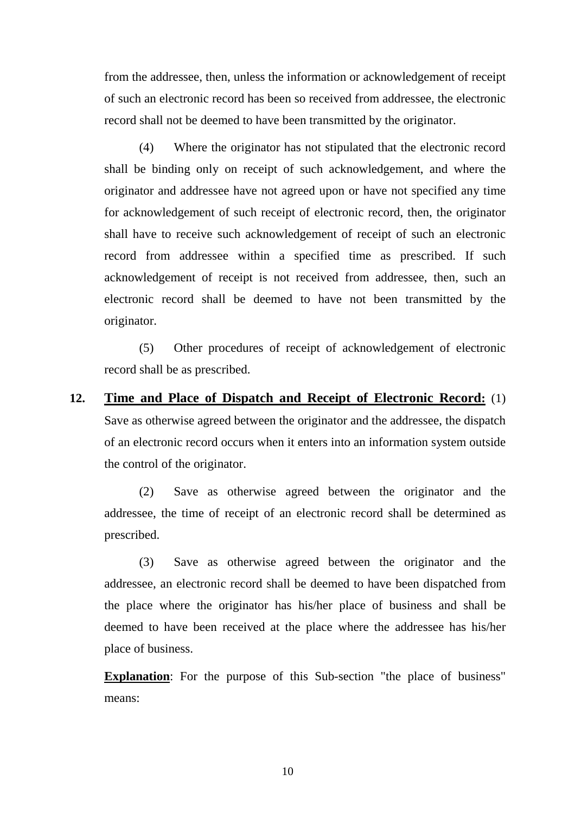from the addressee, then, unless the information or acknowledgement of receipt of such an electronic record has been so received from addressee, the electronic record shall not be deemed to have been transmitted by the originator.

 (4) Where the originator has not stipulated that the electronic record shall be binding only on receipt of such acknowledgement, and where the originator and addressee have not agreed upon or have not specified any time for acknowledgement of such receipt of electronic record, then, the originator shall have to receive such acknowledgement of receipt of such an electronic record from addressee within a specified time as prescribed. If such acknowledgement of receipt is not received from addressee, then, such an electronic record shall be deemed to have not been transmitted by the originator.

 (5) Other procedures of receipt of acknowledgement of electronic record shall be as prescribed.

**12. Time and Place of Dispatch and Receipt of Electronic Record:** (1) Save as otherwise agreed between the originator and the addressee, the dispatch of an electronic record occurs when it enters into an information system outside the control of the originator.

(2) Save as otherwise agreed between the originator and the addressee, the time of receipt of an electronic record shall be determined as prescribed.

(3) Save as otherwise agreed between the originator and the addressee, an electronic record shall be deemed to have been dispatched from the place where the originator has his/her place of business and shall be deemed to have been received at the place where the addressee has his/her place of business.

**Explanation**: For the purpose of this Sub-section "the place of business" means: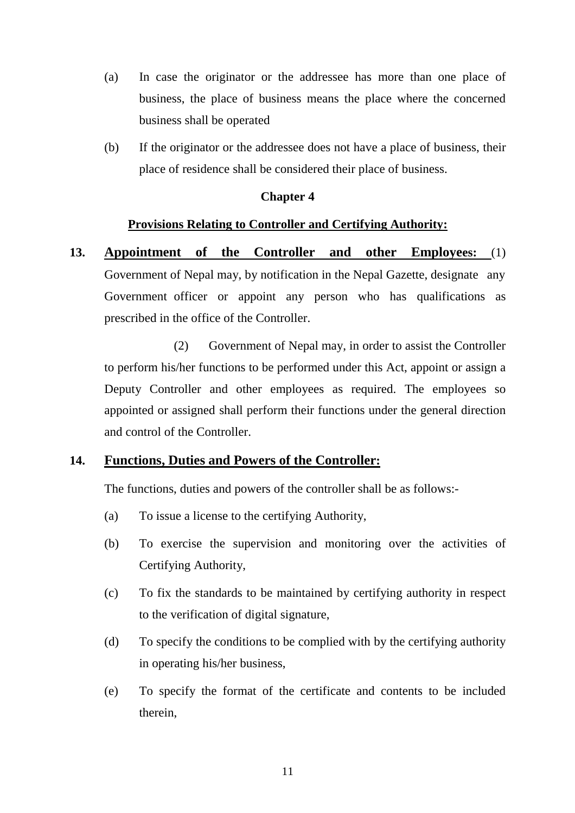- (a) In case the originator or the addressee has more than one place of business, the place of business means the place where the concerned business shall be operated
- (b) If the originator or the addressee does not have a place of business, their place of residence shall be considered their place of business.

## **Chapter 4**

### **Provisions Relating to Controller and Certifying Authority:**

**13. Appointment of the Controller and other Employees:** (1) Government of Nepal may, by notification in the Nepal Gazette, designate any Government officer or appoint any person who has qualifications as prescribed in the office of the Controller.

 (2) Government of Nepal may, in order to assist the Controller to perform his/her functions to be performed under this Act, appoint or assign a Deputy Controller and other employees as required. The employees so appointed or assigned shall perform their functions under the general direction and control of the Controller.

## **14. Functions, Duties and Powers of the Controller:**

The functions, duties and powers of the controller shall be as follows:-

- (a) To issue a license to the certifying Authority,
- (b) To exercise the supervision and monitoring over the activities of Certifying Authority,
- (c) To fix the standards to be maintained by certifying authority in respect to the verification of digital signature,
- (d) To specify the conditions to be complied with by the certifying authority in operating his/her business,
- (e) To specify the format of the certificate and contents to be included therein,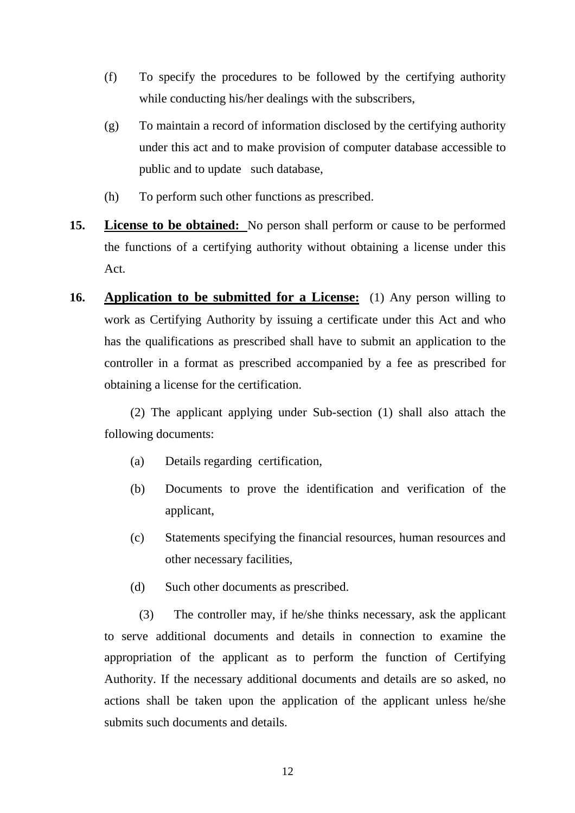- (f) To specify the procedures to be followed by the certifying authority while conducting his/her dealings with the subscribers,
- (g) To maintain a record of information disclosed by the certifying authority under this act and to make provision of computer database accessible to public and to update such database,
- (h) To perform such other functions as prescribed.
- **15. License to be obtained:** No person shall perform or cause to be performed the functions of a certifying authority without obtaining a license under this Act.
- **16. Application to be submitted for a License:** (1) Any person willing to work as Certifying Authority by issuing a certificate under this Act and who has the qualifications as prescribed shall have to submit an application to the controller in a format as prescribed accompanied by a fee as prescribed for obtaining a license for the certification.

(2) The applicant applying under Sub-section (1) shall also attach the following documents:

- (a) Details regarding certification,
- (b) Documents to prove the identification and verification of the applicant,
- (c) Statements specifying the financial resources, human resources and other necessary facilities,
- (d) Such other documents as prescribed.

(3) The controller may, if he/she thinks necessary, ask the applicant to serve additional documents and details in connection to examine the appropriation of the applicant as to perform the function of Certifying Authority. If the necessary additional documents and details are so asked, no actions shall be taken upon the application of the applicant unless he/she submits such documents and details.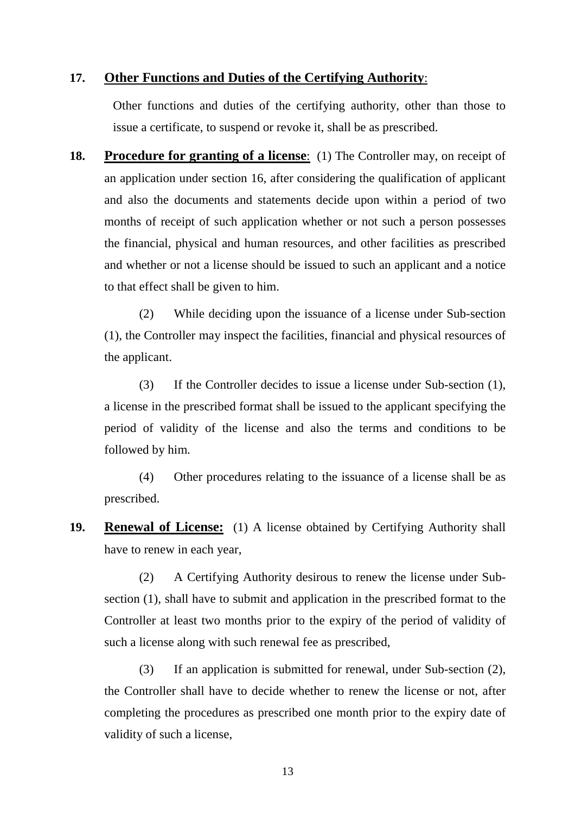## **17. Other Functions and Duties of the Certifying Authority**:

Other functions and duties of the certifying authority, other than those to issue a certificate, to suspend or revoke it, shall be as prescribed.

**18. Procedure for granting of a license**:(1) The Controller may, on receipt of an application under section 16, after considering the qualification of applicant and also the documents and statements decide upon within a period of two months of receipt of such application whether or not such a person possesses the financial, physical and human resources, and other facilities as prescribed and whether or not a license should be issued to such an applicant and a notice to that effect shall be given to him.

(2) While deciding upon the issuance of a license under Sub-section (1), the Controller may inspect the facilities, financial and physical resources of the applicant.

(3) If the Controller decides to issue a license under Sub-section (1), a license in the prescribed format shall be issued to the applicant specifying the period of validity of the license and also the terms and conditions to be followed by him.

(4) Other procedures relating to the issuance of a license shall be as prescribed.

**19. Renewal of License:** (1) A license obtained by Certifying Authority shall have to renew in each year,

(2) A Certifying Authority desirous to renew the license under Subsection (1), shall have to submit and application in the prescribed format to the Controller at least two months prior to the expiry of the period of validity of such a license along with such renewal fee as prescribed,

(3) If an application is submitted for renewal, under Sub-section (2), the Controller shall have to decide whether to renew the license or not, after completing the procedures as prescribed one month prior to the expiry date of validity of such a license,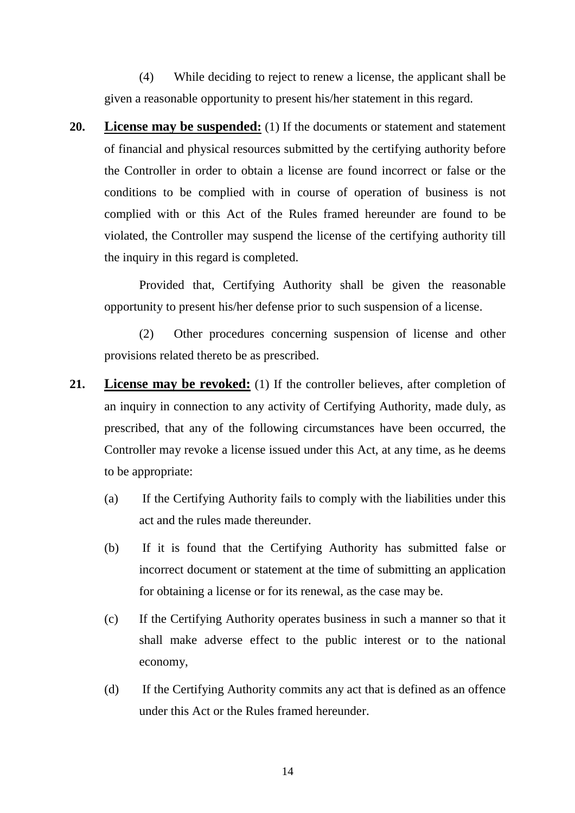(4) While deciding to reject to renew a license, the applicant shall be given a reasonable opportunity to present his/her statement in this regard.

**20. License may be suspended:** (1) If the documents or statement and statement of financial and physical resources submitted by the certifying authority before the Controller in order to obtain a license are found incorrect or false or the conditions to be complied with in course of operation of business is not complied with or this Act of the Rules framed hereunder are found to be violated, the Controller may suspend the license of the certifying authority till the inquiry in this regard is completed.

Provided that, Certifying Authority shall be given the reasonable opportunity to present his/her defense prior to such suspension of a license.

(2) Other procedures concerning suspension of license and other provisions related thereto be as prescribed.

- **21. License may be revoked:** (1) If the controller believes, after completion of an inquiry in connection to any activity of Certifying Authority, made duly, as prescribed, that any of the following circumstances have been occurred, the Controller may revoke a license issued under this Act, at any time, as he deems to be appropriate:
	- (a) If the Certifying Authority fails to comply with the liabilities under this act and the rules made thereunder.
	- (b) If it is found that the Certifying Authority has submitted false or incorrect document or statement at the time of submitting an application for obtaining a license or for its renewal, as the case may be.
	- (c) If the Certifying Authority operates business in such a manner so that it shall make adverse effect to the public interest or to the national economy,
	- (d) If the Certifying Authority commits any act that is defined as an offence under this Act or the Rules framed hereunder.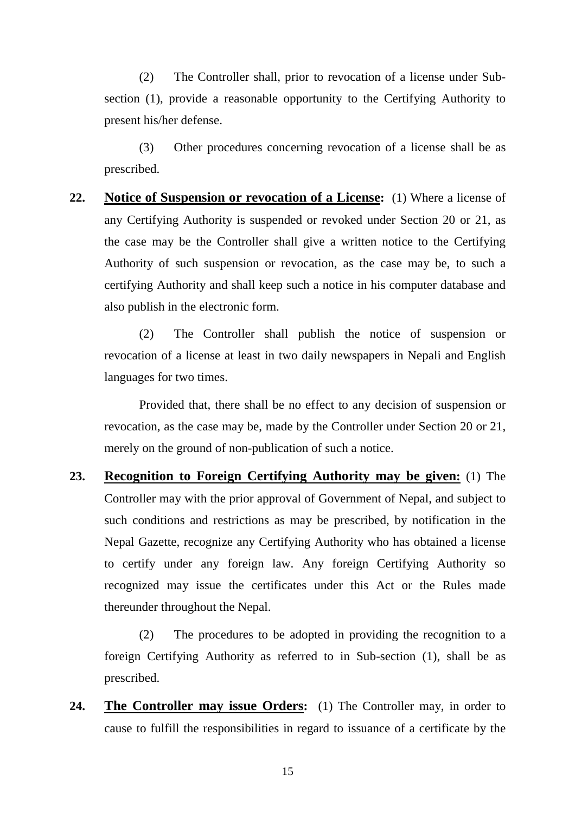(2) The Controller shall, prior to revocation of a license under Subsection (1), provide a reasonable opportunity to the Certifying Authority to present his/her defense.

(3) Other procedures concerning revocation of a license shall be as prescribed.

**22. Notice of Suspension or revocation of a License:** (1) Where a license of any Certifying Authority is suspended or revoked under Section 20 or 21, as the case may be the Controller shall give a written notice to the Certifying Authority of such suspension or revocation, as the case may be, to such a certifying Authority and shall keep such a notice in his computer database and also publish in the electronic form.

(2) The Controller shall publish the notice of suspension or revocation of a license at least in two daily newspapers in Nepali and English languages for two times.

Provided that, there shall be no effect to any decision of suspension or revocation, as the case may be, made by the Controller under Section 20 or 21, merely on the ground of non-publication of such a notice.

**23. Recognition to Foreign Certifying Authority may be given:** (1) The Controller may with the prior approval of Government of Nepal, and subject to such conditions and restrictions as may be prescribed, by notification in the Nepal Gazette, recognize any Certifying Authority who has obtained a license to certify under any foreign law. Any foreign Certifying Authority so recognized may issue the certificates under this Act or the Rules made thereunder throughout the Nepal.

(2) The procedures to be adopted in providing the recognition to a foreign Certifying Authority as referred to in Sub-section (1), shall be as prescribed.

**24. The Controller may issue Orders:** (1) The Controller may, in order to cause to fulfill the responsibilities in regard to issuance of a certificate by the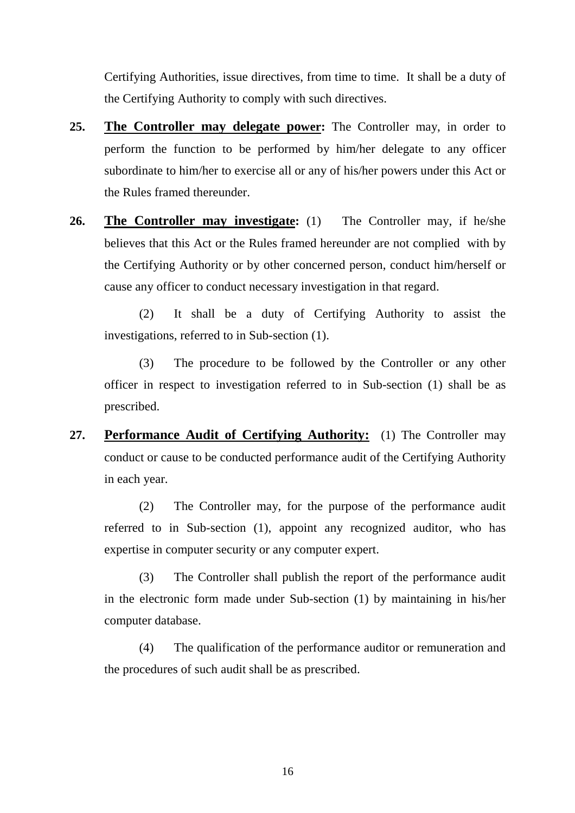Certifying Authorities, issue directives, from time to time. It shall be a duty of the Certifying Authority to comply with such directives.

- **25. The Controller may delegate power:** The Controller may, in order to perform the function to be performed by him/her delegate to any officer subordinate to him/her to exercise all or any of his/her powers under this Act or the Rules framed thereunder.
- **26. The Controller may investigate:** (1)The Controller may, if he/she believes that this Act or the Rules framed hereunder are not complied with by the Certifying Authority or by other concerned person, conduct him/herself or cause any officer to conduct necessary investigation in that regard.

(2) It shall be a duty of Certifying Authority to assist the investigations, referred to in Sub-section (1).

(3) The procedure to be followed by the Controller or any other officer in respect to investigation referred to in Sub-section (1) shall be as prescribed.

**27. Performance Audit of Certifying Authority:** (1) The Controller may conduct or cause to be conducted performance audit of the Certifying Authority in each year.

(2) The Controller may, for the purpose of the performance audit referred to in Sub-section (1), appoint any recognized auditor, who has expertise in computer security or any computer expert.

(3) The Controller shall publish the report of the performance audit in the electronic form made under Sub-section (1) by maintaining in his/her computer database.

(4) The qualification of the performance auditor or remuneration and the procedures of such audit shall be as prescribed.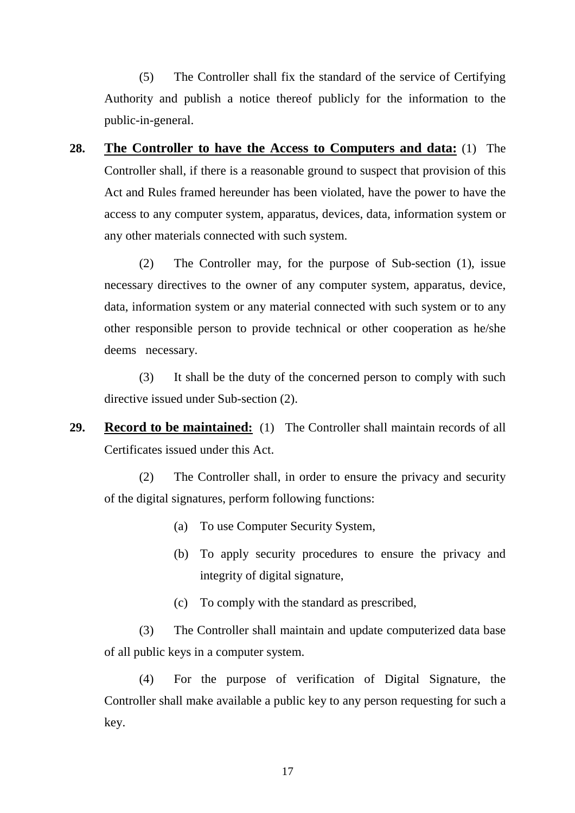(5) The Controller shall fix the standard of the service of Certifying Authority and publish a notice thereof publicly for the information to the public-in-general.

**28. The Controller to have the Access to Computers and data:** (1) The Controller shall, if there is a reasonable ground to suspect that provision of this Act and Rules framed hereunder has been violated, have the power to have the access to any computer system, apparatus, devices, data, information system or any other materials connected with such system.

(2) The Controller may, for the purpose of Sub-section (1), issue necessary directives to the owner of any computer system, apparatus, device, data, information system or any material connected with such system or to any other responsible person to provide technical or other cooperation as he/she deems necessary.

(3) It shall be the duty of the concerned person to comply with such directive issued under Sub-section (2).

**29. Record to be maintained:** (1) The Controller shall maintain records of all Certificates issued under this Act.

(2) The Controller shall, in order to ensure the privacy and security of the digital signatures, perform following functions:

- (a) To use Computer Security System,
- (b) To apply security procedures to ensure the privacy and integrity of digital signature,
- (c) To comply with the standard as prescribed,

(3) The Controller shall maintain and update computerized data base of all public keys in a computer system.

(4) For the purpose of verification of Digital Signature, the Controller shall make available a public key to any person requesting for such a key.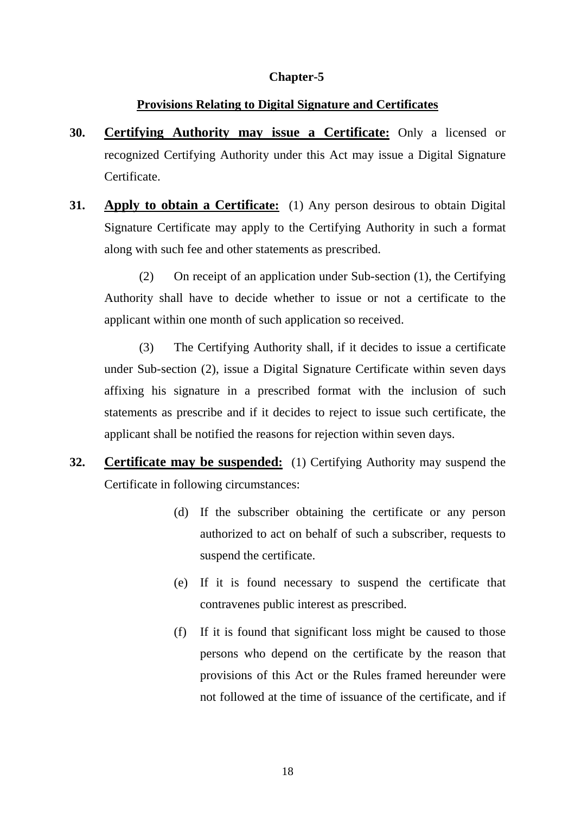## **Chapter-5**

## **Provisions Relating to Digital Signature and Certificates**

- **30. Certifying Authority may issue a Certificate:** Only a licensed or recognized Certifying Authority under this Act may issue a Digital Signature Certificate.
- **31. Apply to obtain a Certificate:** (1) Any person desirous to obtain Digital Signature Certificate may apply to the Certifying Authority in such a format along with such fee and other statements as prescribed.

(2) On receipt of an application under Sub-section (1), the Certifying Authority shall have to decide whether to issue or not a certificate to the applicant within one month of such application so received.

(3) The Certifying Authority shall, if it decides to issue a certificate under Sub-section (2), issue a Digital Signature Certificate within seven days affixing his signature in a prescribed format with the inclusion of such statements as prescribe and if it decides to reject to issue such certificate, the applicant shall be notified the reasons for rejection within seven days.

- **32. Certificate may be suspended:** (1) Certifying Authority may suspend the Certificate in following circumstances:
	- (d) If the subscriber obtaining the certificate or any person authorized to act on behalf of such a subscriber, requests to suspend the certificate.
	- (e) If it is found necessary to suspend the certificate that contravenes public interest as prescribed.
	- (f) If it is found that significant loss might be caused to those persons who depend on the certificate by the reason that provisions of this Act or the Rules framed hereunder were not followed at the time of issuance of the certificate, and if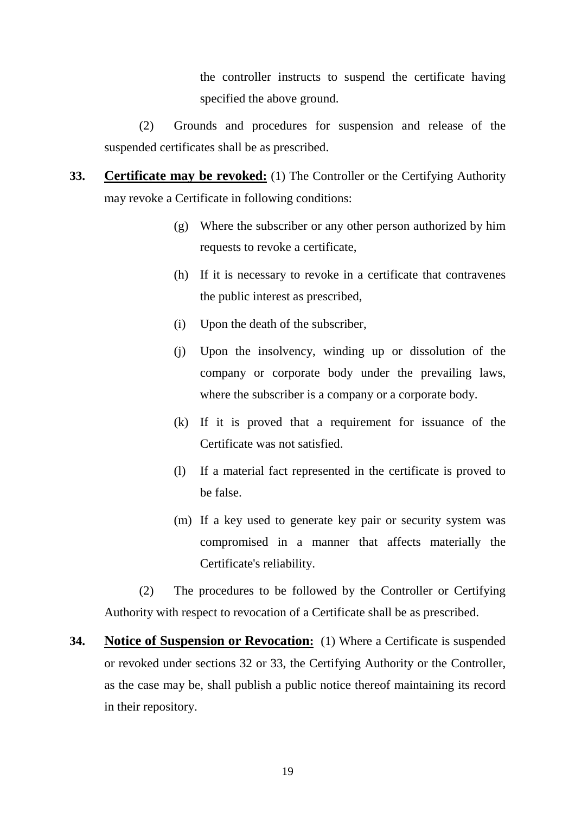the controller instructs to suspend the certificate having specified the above ground.

(2) Grounds and procedures for suspension and release of the suspended certificates shall be as prescribed.

- **33. Certificate may be revoked:** (1) The Controller or the Certifying Authority may revoke a Certificate in following conditions:
	- (g) Where the subscriber or any other person authorized by him requests to revoke a certificate,
	- (h) If it is necessary to revoke in a certificate that contravenes the public interest as prescribed,
	- (i) Upon the death of the subscriber,
	- (j) Upon the insolvency, winding up or dissolution of the company or corporate body under the prevailing laws, where the subscriber is a company or a corporate body.
	- (k) If it is proved that a requirement for issuance of the Certificate was not satisfied.
	- (l) If a material fact represented in the certificate is proved to be false.
	- (m) If a key used to generate key pair or security system was compromised in a manner that affects materially the Certificate's reliability.

(2) The procedures to be followed by the Controller or Certifying Authority with respect to revocation of a Certificate shall be as prescribed.

**34. Notice of Suspension or Revocation:** (1) Where a Certificate is suspended or revoked under sections 32 or 33, the Certifying Authority or the Controller, as the case may be, shall publish a public notice thereof maintaining its record in their repository.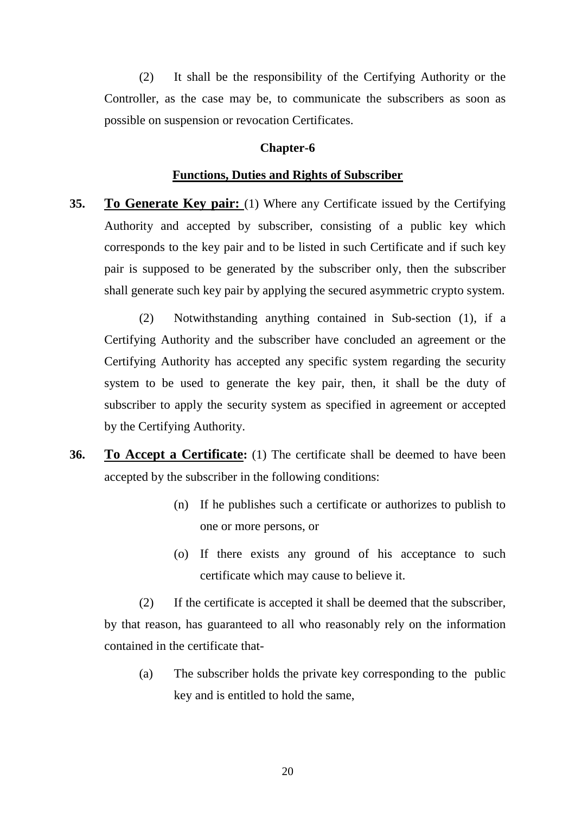(2) It shall be the responsibility of the Certifying Authority or the Controller, as the case may be, to communicate the subscribers as soon as possible on suspension or revocation Certificates.

#### **Chapter-6**

#### **Functions, Duties and Rights of Subscriber**

**35. To Generate Key pair:** (1) Where any Certificate issued by the Certifying Authority and accepted by subscriber, consisting of a public key which corresponds to the key pair and to be listed in such Certificate and if such key pair is supposed to be generated by the subscriber only, then the subscriber shall generate such key pair by applying the secured asymmetric crypto system.

(2) Notwithstanding anything contained in Sub-section (1), if a Certifying Authority and the subscriber have concluded an agreement or the Certifying Authority has accepted any specific system regarding the security system to be used to generate the key pair, then, it shall be the duty of subscriber to apply the security system as specified in agreement or accepted by the Certifying Authority.

- **36. To Accept a Certificate:** (1) The certificate shall be deemed to have been accepted by the subscriber in the following conditions:
	- (n) If he publishes such a certificate or authorizes to publish to one or more persons, or
	- (o) If there exists any ground of his acceptance to such certificate which may cause to believe it.

(2) If the certificate is accepted it shall be deemed that the subscriber, by that reason, has guaranteed to all who reasonably rely on the information contained in the certificate that-

(a) The subscriber holds the private key corresponding to the public key and is entitled to hold the same,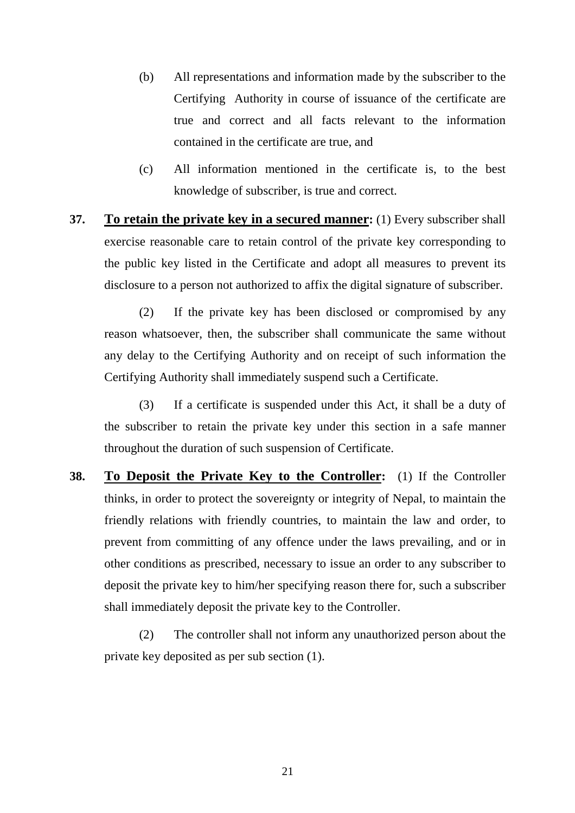- (b) All representations and information made by the subscriber to the Certifying Authority in course of issuance of the certificate are true and correct and all facts relevant to the information contained in the certificate are true, and
- (c) All information mentioned in the certificate is, to the best knowledge of subscriber, is true and correct.
- **37. To retain the private key in a secured manner:** (1) Every subscriber shall exercise reasonable care to retain control of the private key corresponding to the public key listed in the Certificate and adopt all measures to prevent its disclosure to a person not authorized to affix the digital signature of subscriber.

(2) If the private key has been disclosed or compromised by any reason whatsoever, then, the subscriber shall communicate the same without any delay to the Certifying Authority and on receipt of such information the Certifying Authority shall immediately suspend such a Certificate.

(3) If a certificate is suspended under this Act, it shall be a duty of the subscriber to retain the private key under this section in a safe manner throughout the duration of such suspension of Certificate.

**38. To Deposit the Private Key to the Controller:** (1) If the Controller thinks, in order to protect the sovereignty or integrity of Nepal, to maintain the friendly relations with friendly countries, to maintain the law and order, to prevent from committing of any offence under the laws prevailing, and or in other conditions as prescribed, necessary to issue an order to any subscriber to deposit the private key to him/her specifying reason there for, such a subscriber shall immediately deposit the private key to the Controller.

 (2) The controller shall not inform any unauthorized person about the private key deposited as per sub section (1).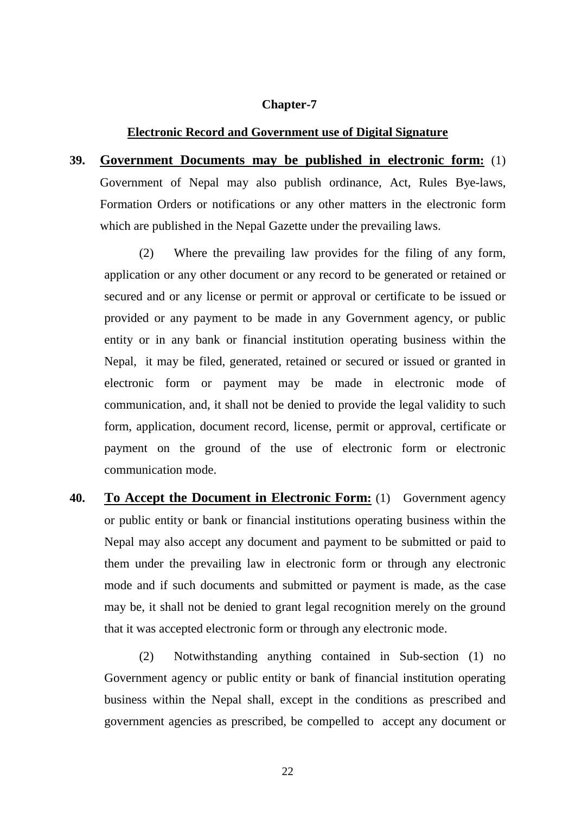#### **Chapter-7**

#### **Electronic Record and Government use of Digital Signature**

**39. Government Documents may be published in electronic form:** (1) Government of Nepal may also publish ordinance, Act, Rules Bye-laws, Formation Orders or notifications or any other matters in the electronic form which are published in the Nepal Gazette under the prevailing laws.

(2) Where the prevailing law provides for the filing of any form, application or any other document or any record to be generated or retained or secured and or any license or permit or approval or certificate to be issued or provided or any payment to be made in any Government agency, or public entity or in any bank or financial institution operating business within the Nepal, it may be filed, generated, retained or secured or issued or granted in electronic form or payment may be made in electronic mode of communication, and, it shall not be denied to provide the legal validity to such form, application, document record, license, permit or approval, certificate or payment on the ground of the use of electronic form or electronic communication mode.

**40. To Accept the Document in Electronic Form:** (1)Government agency or public entity or bank or financial institutions operating business within the Nepal may also accept any document and payment to be submitted or paid to them under the prevailing law in electronic form or through any electronic mode and if such documents and submitted or payment is made, as the case may be, it shall not be denied to grant legal recognition merely on the ground that it was accepted electronic form or through any electronic mode.

(2) Notwithstanding anything contained in Sub-section (1) no Government agency or public entity or bank of financial institution operating business within the Nepal shall, except in the conditions as prescribed and government agencies as prescribed, be compelled to accept any document or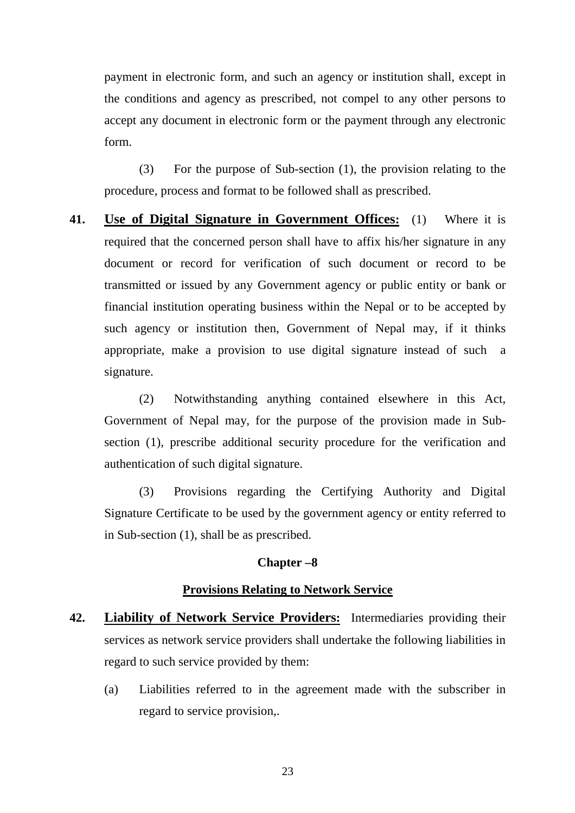payment in electronic form, and such an agency or institution shall, except in the conditions and agency as prescribed, not compel to any other persons to accept any document in electronic form or the payment through any electronic form.

(3) For the purpose of Sub-section (1), the provision relating to the procedure, process and format to be followed shall as prescribed.

**41. Use of Digital Signature in Government Offices:** (1) Where it is required that the concerned person shall have to affix his/her signature in any document or record for verification of such document or record to be transmitted or issued by any Government agency or public entity or bank or financial institution operating business within the Nepal or to be accepted by such agency or institution then, Government of Nepal may, if it thinks appropriate, make a provision to use digital signature instead of such a signature.

(2) Notwithstanding anything contained elsewhere in this Act, Government of Nepal may, for the purpose of the provision made in Subsection (1), prescribe additional security procedure for the verification and authentication of such digital signature.

(3) Provisions regarding the Certifying Authority and Digital Signature Certificate to be used by the government agency or entity referred to in Sub-section (1), shall be as prescribed.

#### **Chapter –8**

#### **Provisions Relating to Network Service**

- **42. Liability of Network Service Providers:** Intermediaries providing their services as network service providers shall undertake the following liabilities in regard to such service provided by them:
	- (a) Liabilities referred to in the agreement made with the subscriber in regard to service provision,.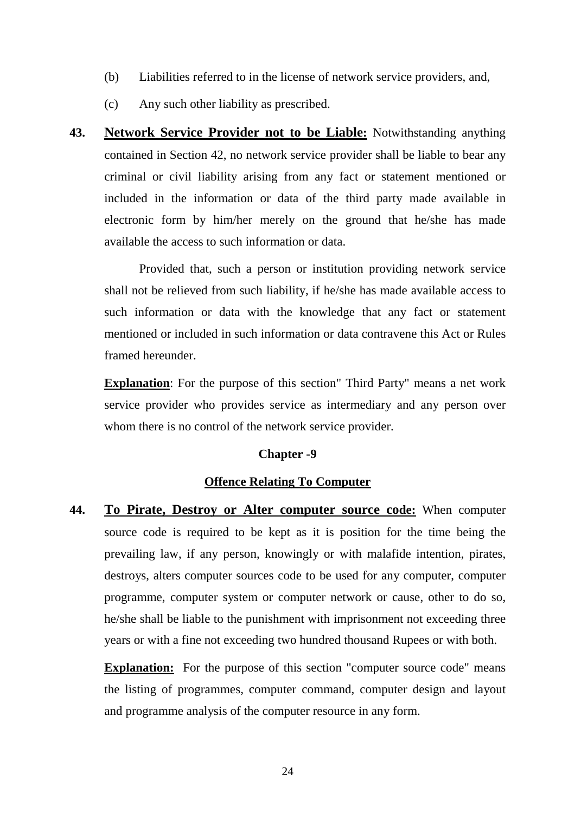- (b) Liabilities referred to in the license of network service providers, and,
- (c) Any such other liability as prescribed.
- **43. Network Service Provider not to be Liable:** Notwithstanding anything contained in Section 42, no network service provider shall be liable to bear any criminal or civil liability arising from any fact or statement mentioned or included in the information or data of the third party made available in electronic form by him/her merely on the ground that he/she has made available the access to such information or data.

Provided that, such a person or institution providing network service shall not be relieved from such liability, if he/she has made available access to such information or data with the knowledge that any fact or statement mentioned or included in such information or data contravene this Act or Rules framed hereunder.

**Explanation**: For the purpose of this section" Third Party" means a net work service provider who provides service as intermediary and any person over whom there is no control of the network service provider.

## **Chapter -9**

## **Offence Relating To Computer**

**44. To Pirate, Destroy or Alter computer source code:** When computer source code is required to be kept as it is position for the time being the prevailing law, if any person, knowingly or with malafide intention, pirates, destroys, alters computer sources code to be used for any computer, computer programme, computer system or computer network or cause, other to do so, he/she shall be liable to the punishment with imprisonment not exceeding three years or with a fine not exceeding two hundred thousand Rupees or with both.

**Explanation:** For the purpose of this section "computer source code" means the listing of programmes, computer command, computer design and layout and programme analysis of the computer resource in any form.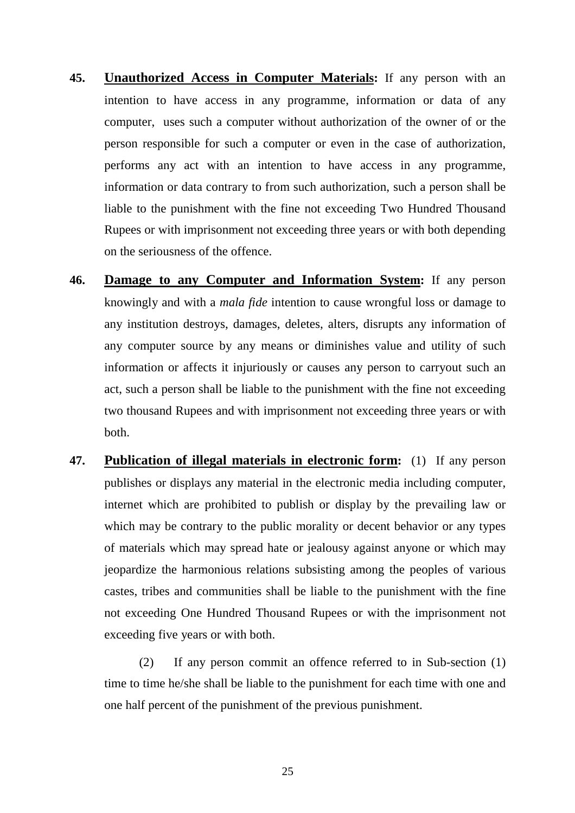- **45. Unauthorized Access in Computer Materials:** If any person with an intention to have access in any programme, information or data of any computer, uses such a computer without authorization of the owner of or the person responsible for such a computer or even in the case of authorization, performs any act with an intention to have access in any programme, information or data contrary to from such authorization, such a person shall be liable to the punishment with the fine not exceeding Two Hundred Thousand Rupees or with imprisonment not exceeding three years or with both depending on the seriousness of the offence.
- **46. Damage to any Computer and Information System:** If any person knowingly and with a *mala fide* intention to cause wrongful loss or damage to any institution destroys, damages, deletes, alters, disrupts any information of any computer source by any means or diminishes value and utility of such information or affects it injuriously or causes any person to carryout such an act, such a person shall be liable to the punishment with the fine not exceeding two thousand Rupees and with imprisonment not exceeding three years or with both.
- **47. Publication of illegal materials in electronic form:** (1) If any person publishes or displays any material in the electronic media including computer, internet which are prohibited to publish or display by the prevailing law or which may be contrary to the public morality or decent behavior or any types of materials which may spread hate or jealousy against anyone or which may jeopardize the harmonious relations subsisting among the peoples of various castes, tribes and communities shall be liable to the punishment with the fine not exceeding One Hundred Thousand Rupees or with the imprisonment not exceeding five years or with both.

(2) If any person commit an offence referred to in Sub-section (1) time to time he/she shall be liable to the punishment for each time with one and one half percent of the punishment of the previous punishment.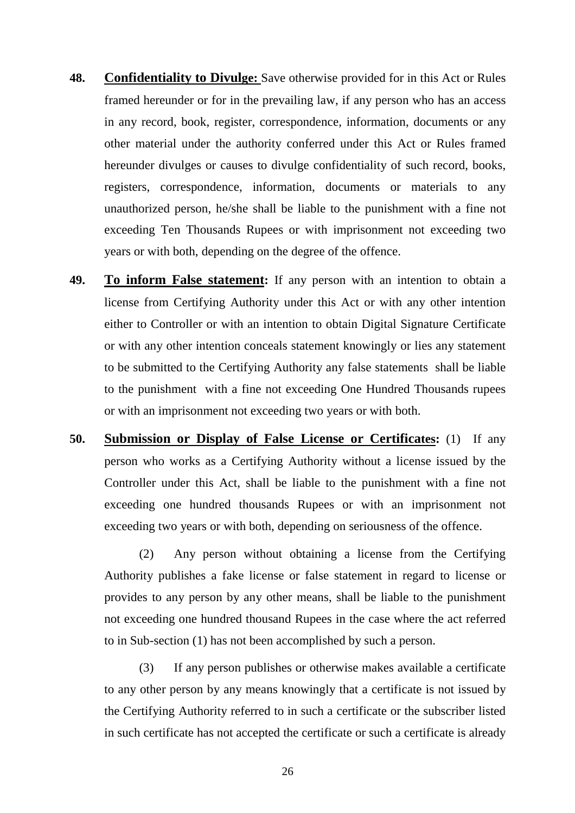- **48. Confidentiality to Divulge:** Save otherwise provided for in this Act or Rules framed hereunder or for in the prevailing law, if any person who has an access in any record, book, register, correspondence, information, documents or any other material under the authority conferred under this Act or Rules framed hereunder divulges or causes to divulge confidentiality of such record, books, registers, correspondence, information, documents or materials to any unauthorized person, he/she shall be liable to the punishment with a fine not exceeding Ten Thousands Rupees or with imprisonment not exceeding two years or with both, depending on the degree of the offence.
- **49. To inform False statement:** If any person with an intention to obtain a license from Certifying Authority under this Act or with any other intention either to Controller or with an intention to obtain Digital Signature Certificate or with any other intention conceals statement knowingly or lies any statement to be submitted to the Certifying Authority any false statements shall be liable to the punishment with a fine not exceeding One Hundred Thousands rupees or with an imprisonment not exceeding two years or with both.
- **50. Submission or Display of False License or Certificates:** (1) If any person who works as a Certifying Authority without a license issued by the Controller under this Act, shall be liable to the punishment with a fine not exceeding one hundred thousands Rupees or with an imprisonment not exceeding two years or with both, depending on seriousness of the offence.

(2) Any person without obtaining a license from the Certifying Authority publishes a fake license or false statement in regard to license or provides to any person by any other means, shall be liable to the punishment not exceeding one hundred thousand Rupees in the case where the act referred to in Sub-section (1) has not been accomplished by such a person.

(3) If any person publishes or otherwise makes available a certificate to any other person by any means knowingly that a certificate is not issued by the Certifying Authority referred to in such a certificate or the subscriber listed in such certificate has not accepted the certificate or such a certificate is already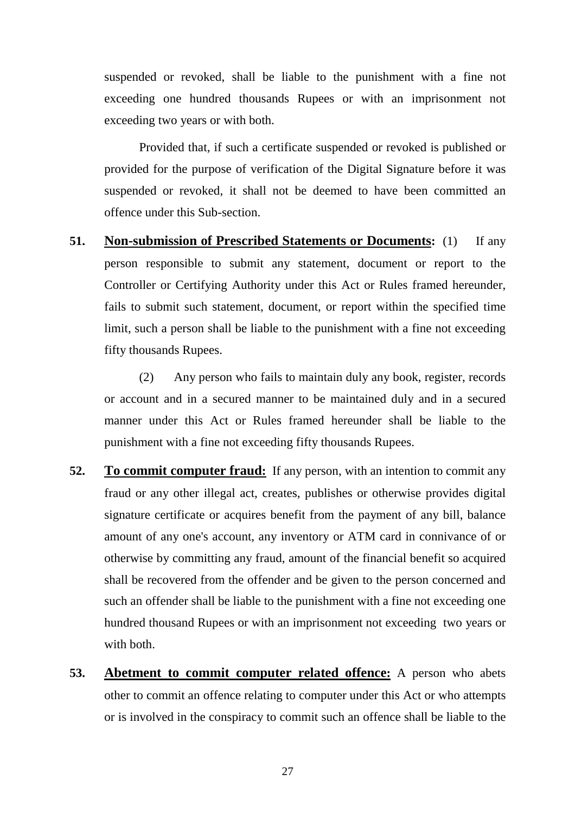suspended or revoked, shall be liable to the punishment with a fine not exceeding one hundred thousands Rupees or with an imprisonment not exceeding two years or with both.

Provided that, if such a certificate suspended or revoked is published or provided for the purpose of verification of the Digital Signature before it was suspended or revoked, it shall not be deemed to have been committed an offence under this Sub-section.

**51. Non-submission of Prescribed Statements or Documents:** (1) If any person responsible to submit any statement, document or report to the Controller or Certifying Authority under this Act or Rules framed hereunder, fails to submit such statement, document, or report within the specified time limit, such a person shall be liable to the punishment with a fine not exceeding fifty thousands Rupees.

(2) Any person who fails to maintain duly any book, register, records or account and in a secured manner to be maintained duly and in a secured manner under this Act or Rules framed hereunder shall be liable to the punishment with a fine not exceeding fifty thousands Rupees.

- **52. To commit computer fraud:** If any person, with an intention to commit any fraud or any other illegal act, creates, publishes or otherwise provides digital signature certificate or acquires benefit from the payment of any bill, balance amount of any one's account, any inventory or ATM card in connivance of or otherwise by committing any fraud, amount of the financial benefit so acquired shall be recovered from the offender and be given to the person concerned and such an offender shall be liable to the punishment with a fine not exceeding one hundred thousand Rupees or with an imprisonment not exceeding two years or with both.
- **53. Abetment to commit computer related offence:** A person who abets other to commit an offence relating to computer under this Act or who attempts or is involved in the conspiracy to commit such an offence shall be liable to the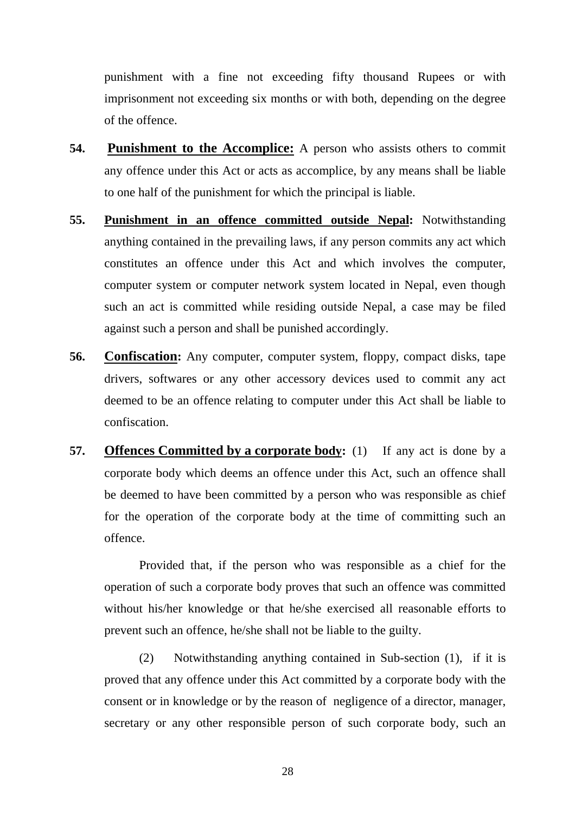punishment with a fine not exceeding fifty thousand Rupees or with imprisonment not exceeding six months or with both, depending on the degree of the offence.

- **54. Punishment to the Accomplice:** A person who assists others to commit any offence under this Act or acts as accomplice, by any means shall be liable to one half of the punishment for which the principal is liable.
- **55. Punishment in an offence committed outside Nepal:** Notwithstanding anything contained in the prevailing laws, if any person commits any act which constitutes an offence under this Act and which involves the computer, computer system or computer network system located in Nepal, even though such an act is committed while residing outside Nepal, a case may be filed against such a person and shall be punished accordingly.
- **56. Confiscation:** Any computer, computer system, floppy, compact disks, tape drivers, softwares or any other accessory devices used to commit any act deemed to be an offence relating to computer under this Act shall be liable to confiscation.
- **57. Offences Committed by a corporate body:** (1) If any act is done by a corporate body which deems an offence under this Act, such an offence shall be deemed to have been committed by a person who was responsible as chief for the operation of the corporate body at the time of committing such an offence.

Provided that, if the person who was responsible as a chief for the operation of such a corporate body proves that such an offence was committed without his/her knowledge or that he/she exercised all reasonable efforts to prevent such an offence, he/she shall not be liable to the guilty.

(2) Notwithstanding anything contained in Sub-section (1), if it is proved that any offence under this Act committed by a corporate body with the consent or in knowledge or by the reason of negligence of a director, manager, secretary or any other responsible person of such corporate body, such an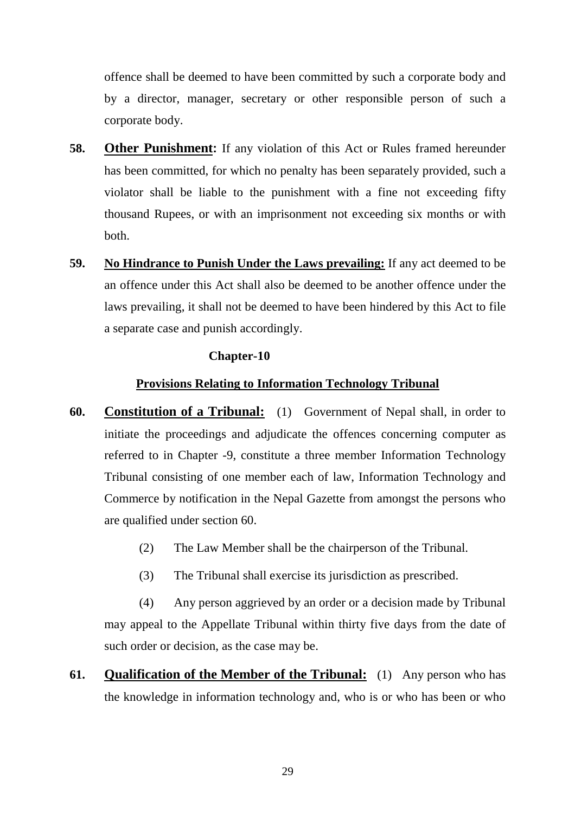offence shall be deemed to have been committed by such a corporate body and by a director, manager, secretary or other responsible person of such a corporate body.

- **58. Other Punishment:** If any violation of this Act or Rules framed hereunder has been committed, for which no penalty has been separately provided, such a violator shall be liable to the punishment with a fine not exceeding fifty thousand Rupees, or with an imprisonment not exceeding six months or with both.
- **59. No Hindrance to Punish Under the Laws prevailing:** If any act deemed to be an offence under this Act shall also be deemed to be another offence under the laws prevailing, it shall not be deemed to have been hindered by this Act to file a separate case and punish accordingly.

## **Chapter-10**

## **Provisions Relating to Information Technology Tribunal**

- **60. Constitution of a Tribunal:** (1) Government of Nepal shall, in order to initiate the proceedings and adjudicate the offences concerning computer as referred to in Chapter -9, constitute a three member Information Technology Tribunal consisting of one member each of law, Information Technology and Commerce by notification in the Nepal Gazette from amongst the persons who are qualified under section 60.
	- (2) The Law Member shall be the chairperson of the Tribunal.
	- (3) The Tribunal shall exercise its jurisdiction as prescribed.

(4) Any person aggrieved by an order or a decision made by Tribunal may appeal to the Appellate Tribunal within thirty five days from the date of such order or decision, as the case may be.

**61. Qualification of the Member of the Tribunal:** (1) Any person who has the knowledge in information technology and, who is or who has been or who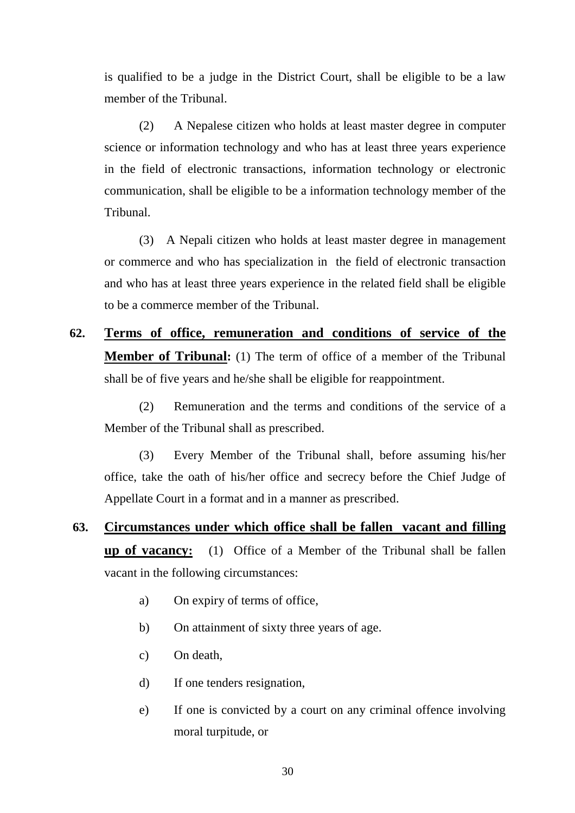is qualified to be a judge in the District Court, shall be eligible to be a law member of the Tribunal.

(2) A Nepalese citizen who holds at least master degree in computer science or information technology and who has at least three years experience in the field of electronic transactions, information technology or electronic communication, shall be eligible to be a information technology member of the Tribunal.

(3) A Nepali citizen who holds at least master degree in management or commerce and who has specialization in the field of electronic transaction and who has at least three years experience in the related field shall be eligible to be a commerce member of the Tribunal.

**62. Terms of office, remuneration and conditions of service of the Member of Tribunal:** (1) The term of office of a member of the Tribunal shall be of five years and he/she shall be eligible for reappointment.

(2) Remuneration and the terms and conditions of the service of a Member of the Tribunal shall as prescribed.

(3) Every Member of the Tribunal shall, before assuming his/her office, take the oath of his/her office and secrecy before the Chief Judge of Appellate Court in a format and in a manner as prescribed.

- **63. Circumstances under which office shall be fallen vacant and filling up of vacancy:** (1) Office of a Member of the Tribunal shall be fallen vacant in the following circumstances:
	- a) On expiry of terms of office,
	- b) On attainment of sixty three years of age.
	- c) On death,
	- d) If one tenders resignation,
	- e) If one is convicted by a court on any criminal offence involving moral turpitude, or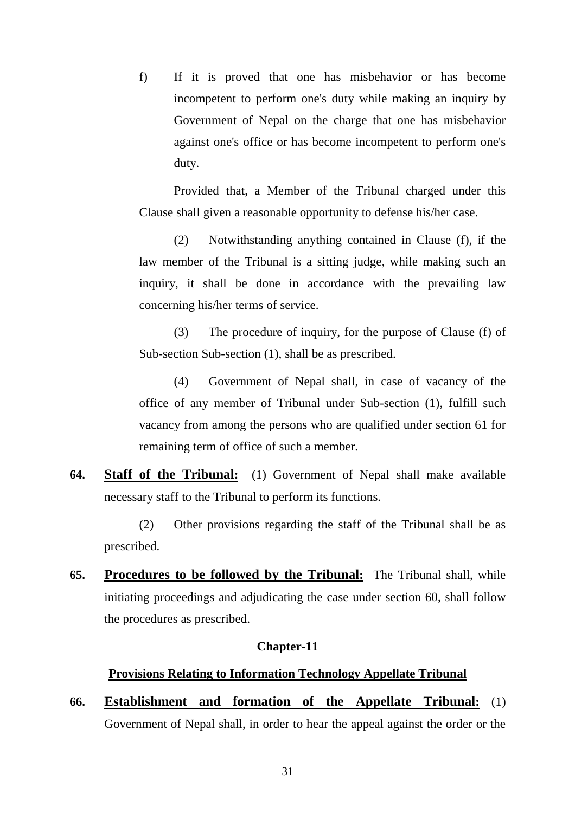f) If it is proved that one has misbehavior or has become incompetent to perform one's duty while making an inquiry by Government of Nepal on the charge that one has misbehavior against one's office or has become incompetent to perform one's duty.

Provided that, a Member of the Tribunal charged under this Clause shall given a reasonable opportunity to defense his/her case.

(2) Notwithstanding anything contained in Clause (f), if the law member of the Tribunal is a sitting judge, while making such an inquiry, it shall be done in accordance with the prevailing law concerning his/her terms of service.

(3) The procedure of inquiry, for the purpose of Clause (f) of Sub-section Sub-section (1), shall be as prescribed.

(4) Government of Nepal shall, in case of vacancy of the office of any member of Tribunal under Sub-section (1), fulfill such vacancy from among the persons who are qualified under section 61 for remaining term of office of such a member.

**64. Staff of the Tribunal:** (1) Government of Nepal shall make available necessary staff to the Tribunal to perform its functions.

(2) Other provisions regarding the staff of the Tribunal shall be as prescribed.

**65. Procedures to be followed by the Tribunal:** The Tribunal shall, while initiating proceedings and adjudicating the case under section 60, shall follow the procedures as prescribed.

#### **Chapter-11**

## **Provisions Relating to Information Technology Appellate Tribunal**

**66. Establishment and formation of the Appellate Tribunal:** (1) Government of Nepal shall, in order to hear the appeal against the order or the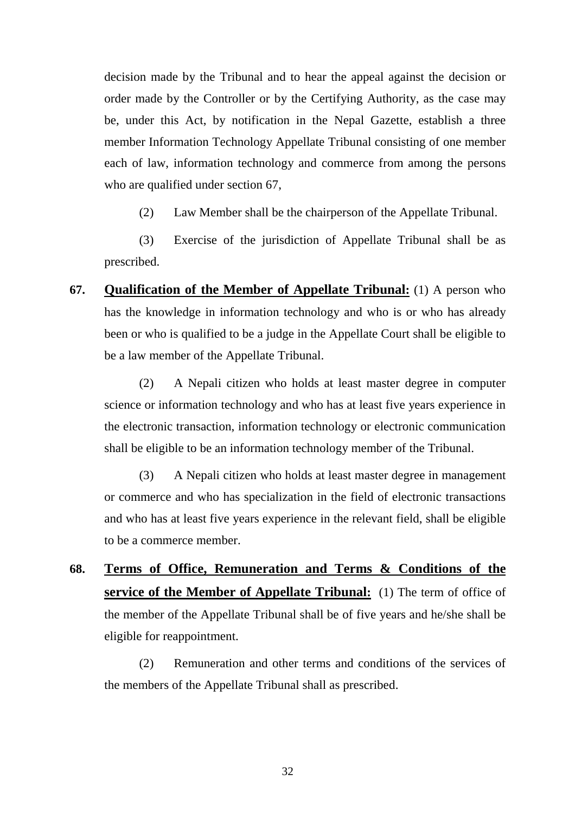decision made by the Tribunal and to hear the appeal against the decision or order made by the Controller or by the Certifying Authority, as the case may be, under this Act, by notification in the Nepal Gazette, establish a three member Information Technology Appellate Tribunal consisting of one member each of law, information technology and commerce from among the persons who are qualified under section 67,

(2) Law Member shall be the chairperson of the Appellate Tribunal.

(3) Exercise of the jurisdiction of Appellate Tribunal shall be as prescribed.

**67. Qualification of the Member of Appellate Tribunal:** (1) A person who has the knowledge in information technology and who is or who has already been or who is qualified to be a judge in the Appellate Court shall be eligible to be a law member of the Appellate Tribunal.

(2) A Nepali citizen who holds at least master degree in computer science or information technology and who has at least five years experience in the electronic transaction, information technology or electronic communication shall be eligible to be an information technology member of the Tribunal.

(3) A Nepali citizen who holds at least master degree in management or commerce and who has specialization in the field of electronic transactions and who has at least five years experience in the relevant field, shall be eligible to be a commerce member.

**68. Terms of Office, Remuneration and Terms & Conditions of the service of the Member of Appellate Tribunal:** (1) The term of office of the member of the Appellate Tribunal shall be of five years and he/she shall be eligible for reappointment.

(2) Remuneration and other terms and conditions of the services of the members of the Appellate Tribunal shall as prescribed.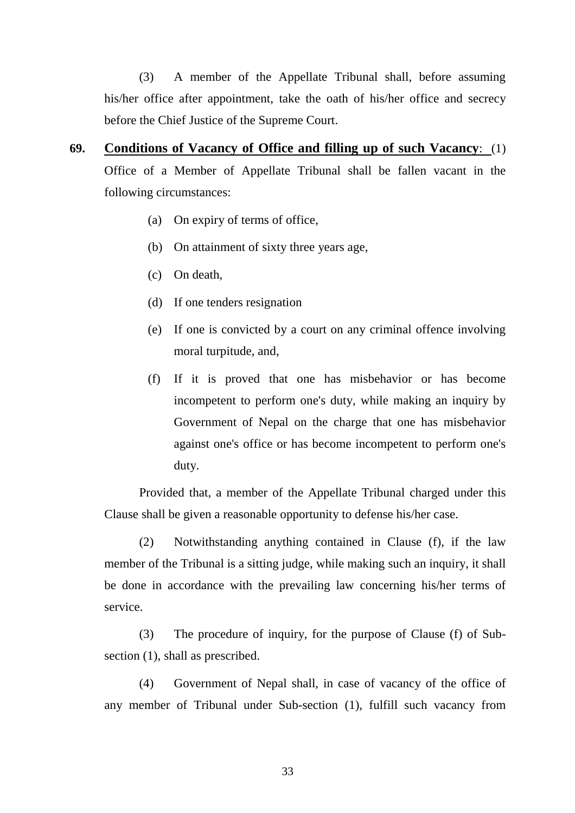(3) A member of the Appellate Tribunal shall, before assuming his/her office after appointment, take the oath of his/her office and secrecy before the Chief Justice of the Supreme Court.

- **69. Conditions of Vacancy of Office and filling up of such Vacancy**: (1) Office of a Member of Appellate Tribunal shall be fallen vacant in the following circumstances:
	- (a) On expiry of terms of office,
	- (b) On attainment of sixty three years age,
	- (c) On death,
	- (d) If one tenders resignation
	- (e) If one is convicted by a court on any criminal offence involving moral turpitude, and,
	- (f) If it is proved that one has misbehavior or has become incompetent to perform one's duty, while making an inquiry by Government of Nepal on the charge that one has misbehavior against one's office or has become incompetent to perform one's duty.

Provided that, a member of the Appellate Tribunal charged under this Clause shall be given a reasonable opportunity to defense his/her case.

(2) Notwithstanding anything contained in Clause (f), if the law member of the Tribunal is a sitting judge, while making such an inquiry, it shall be done in accordance with the prevailing law concerning his/her terms of service.

(3) The procedure of inquiry, for the purpose of Clause (f) of Subsection (1), shall as prescribed.

(4) Government of Nepal shall, in case of vacancy of the office of any member of Tribunal under Sub-section (1), fulfill such vacancy from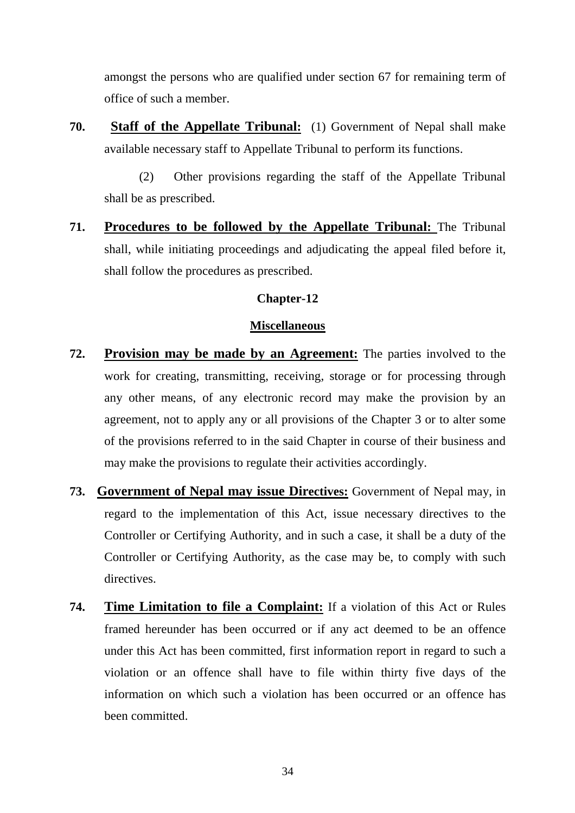amongst the persons who are qualified under section 67 for remaining term of office of such a member.

**70. Staff of the Appellate Tribunal:** (1) Government of Nepal shall make available necessary staff to Appellate Tribunal to perform its functions.

(2) Other provisions regarding the staff of the Appellate Tribunal shall be as prescribed.

**71. Procedures to be followed by the Appellate Tribunal:** The Tribunal shall, while initiating proceedings and adjudicating the appeal filed before it, shall follow the procedures as prescribed.

## **Chapter-12**

## **Miscellaneous**

- **72. Provision may be made by an Agreement:** The parties involved to the work for creating, transmitting, receiving, storage or for processing through any other means, of any electronic record may make the provision by an agreement, not to apply any or all provisions of the Chapter 3 or to alter some of the provisions referred to in the said Chapter in course of their business and may make the provisions to regulate their activities accordingly.
- **73. Government of Nepal may issue Directives:** Government of Nepal may, in regard to the implementation of this Act, issue necessary directives to the Controller or Certifying Authority, and in such a case, it shall be a duty of the Controller or Certifying Authority, as the case may be, to comply with such directives.
- **74. Time Limitation to file a Complaint:** If a violation of this Act or Rules framed hereunder has been occurred or if any act deemed to be an offence under this Act has been committed, first information report in regard to such a violation or an offence shall have to file within thirty five days of the information on which such a violation has been occurred or an offence has been committed.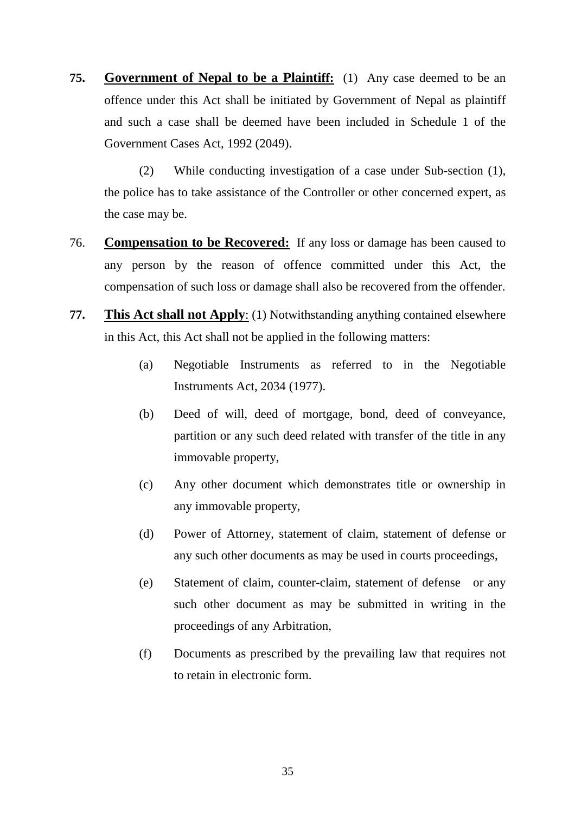**75. Government of Nepal to be a Plaintiff:** (1) Any case deemed to be an offence under this Act shall be initiated by Government of Nepal as plaintiff and such a case shall be deemed have been included in Schedule 1 of the Government Cases Act, 1992 (2049).

(2) While conducting investigation of a case under Sub-section (1), the police has to take assistance of the Controller or other concerned expert, as the case may be.

- 76. **Compensation to be Recovered:** If any loss or damage has been caused to any person by the reason of offence committed under this Act, the compensation of such loss or damage shall also be recovered from the offender.
- **77. This Act shall not Apply**: (1) Notwithstanding anything contained elsewhere in this Act, this Act shall not be applied in the following matters:
	- (a) Negotiable Instruments as referred to in the Negotiable Instruments Act, 2034 (1977).
	- (b) Deed of will, deed of mortgage, bond, deed of conveyance, partition or any such deed related with transfer of the title in any immovable property,
	- (c) Any other document which demonstrates title or ownership in any immovable property,
	- (d) Power of Attorney, statement of claim, statement of defense or any such other documents as may be used in courts proceedings,
	- (e) Statement of claim, counter-claim, statement of defense or any such other document as may be submitted in writing in the proceedings of any Arbitration,
	- (f) Documents as prescribed by the prevailing law that requires not to retain in electronic form.